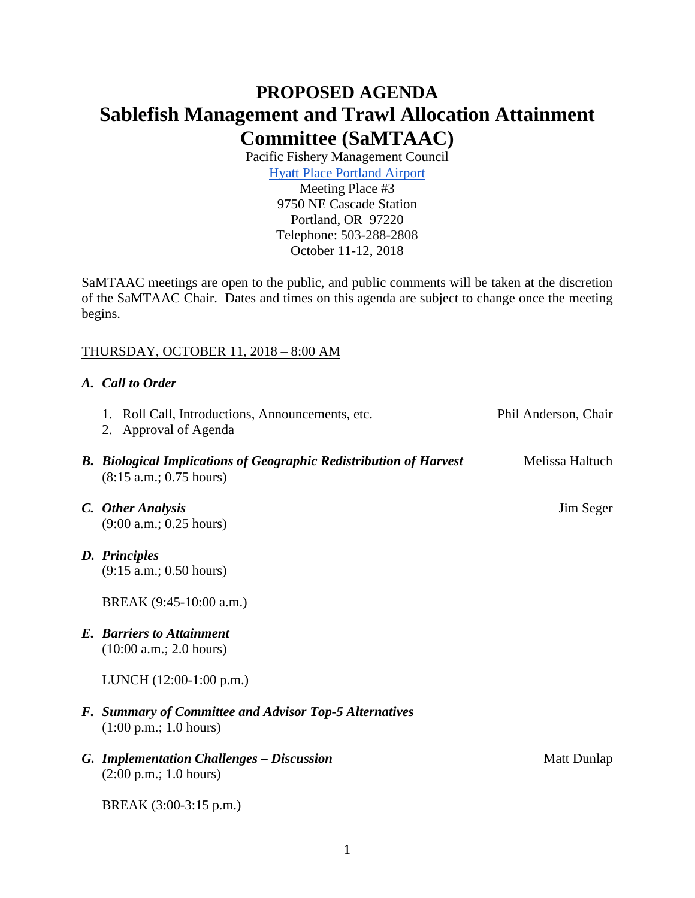# **PROPOSED AGENDA Sablefish Management and Trawl Allocation Attainment Committee (SaMTAAC)**

Pacific Fishery Management Council

[Hyatt Place Portland Airport](https://portlandairport.place.hyatt.com/en/hotel/home.html) Meeting Place #3 9750 NE Cascade Station Portland, OR 97220 Telephone: 503-288-2808 October 11-12, 2018

SaMTAAC meetings are open to the public, and public comments will be taken at the discretion of the SaMTAAC Chair. Dates and times on this agenda are subject to change once the meeting begins.

# THURSDAY, OCTOBER 11, 2018 – 8:00 AM

## *A. Call to Order*

|  | 1. Roll Call, Introductions, Announcements, etc.<br>2. Approval of Agenda                            | Phil Anderson, Chair |
|--|------------------------------------------------------------------------------------------------------|----------------------|
|  | <b>B.</b> Biological Implications of Geographic Redistribution of Harvest<br>(8:15 a.m.; 0.75 hours) | Melissa Haltuch      |
|  | C. Other Analysis                                                                                    | Jim Seger            |
|  | (9:00 a.m.; 0.25 hours)                                                                              |                      |
|  | D. Principles                                                                                        |                      |
|  | (9:15 a.m.; 0.50 hours)                                                                              |                      |
|  | BREAK (9:45-10:00 a.m.)                                                                              |                      |
|  | <b>E.</b> Barriers to Attainment<br>(10:00 a.m.; 2.0 hours)                                          |                      |
|  | LUNCH (12:00-1:00 p.m.)                                                                              |                      |
|  | F. Summary of Committee and Advisor Top-5 Alternatives<br>$(1:00 \text{ p.m.}; 1.0 \text{ hours})$   |                      |
|  | <b>G. Implementation Challenges - Discussion</b><br>$(2:00 \text{ p.m.}; 1.0 \text{ hours})$         | Matt Dunlap          |
|  | BREAK (3:00-3:15 p.m.)                                                                               |                      |